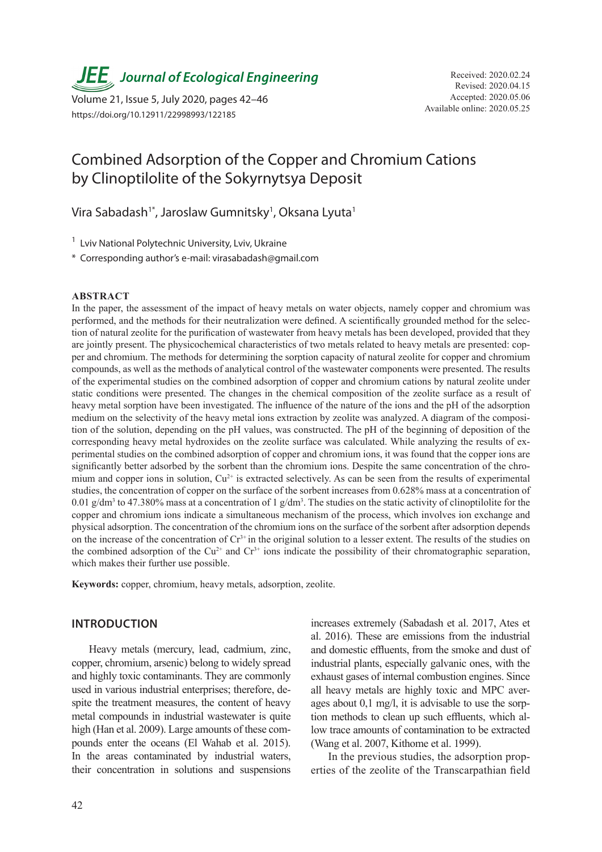**JEE** Journal of Ecological Engineering Received: 2020.02.24

Available online: 2020.05.25 Volume 21, Issue 5, July 2020, pages 42–46 https://doi.org/10.12911/22998993/122185

# Combined Adsorption of the Copper and Chromium Cations by Clinoptilolite of the Sokyrnytsya Deposit

Vira Sabadash<sup>1\*</sup>, Jaroslaw Gumnitsky<sup>1</sup>, Oksana Lyuta<sup>1</sup>

<sup>1</sup> Lviv National Polytechnic University, Lviv, Ukraine

\* Corresponding author's e-mail: virasabadash@gmail.com

#### **ABSTRACT**

In the paper, the assessment of the impact of heavy metals on water objects, namely copper and chromium was performed, and the methods for their neutralization were defined. A scientifically grounded method for the selection of natural zeolite for the purification of wastewater from heavy metals has been developed, provided that they are jointly present. The physicochemical characteristics of two metals related to heavy metals are presented: copper and chromium. The methods for determining the sorption capacity of natural zeolite for copper and chromium compounds, as well as the methods of analytical control of the wastewater components were presented. The results of the experimental studies on the combined adsorption of copper and chromium cations by natural zeolite under static conditions were presented. The changes in the chemical composition of the zeolite surface as a result of heavy metal sorption have been investigated. The influence of the nature of the ions and the pH of the adsorption medium on the selectivity of the heavy metal ions extraction by zeolite was analyzed. A diagram of the composition of the solution, depending on the pH values, was constructed. The pH of the beginning of deposition of the corresponding heavy metal hydroxides on the zeolite surface was calculated. While analyzing the results of experimental studies on the combined adsorption of copper and chromium ions, it was found that the copper ions are significantly better adsorbed by the sorbent than the chromium ions. Despite the same concentration of the chromium and copper ions in solution,  $Cu^{2+}$  is extracted selectively. As can be seen from the results of experimental studies, the concentration of copper on the surface of the sorbent increases from 0.628% mass at a concentration of 0.01 g/dm<sup>3</sup> to 47.380% mass at a concentration of 1 g/dm<sup>3</sup>. The studies on the static activity of clinoptilolite for the copper and chromium ions indicate a simultaneous mechanism of the process, which involves ion exchange and physical adsorption. The concentration of the chromium ions on the surface of the sorbent after adsorption depends on the increase of the concentration of  $Cr<sup>3+</sup>$  in the original solution to a lesser extent. The results of the studies on the combined adsorption of the Cu<sup>2+</sup> and Cr<sup>3+</sup> ions indicate the possibility of their chromatographic separation, which makes their further use possible.

**Keywords:** copper, chromium, heavy metals, adsorption, zeolite.

#### **INTRODUCTION**

Heavy metals (mercury, lead, cadmium, zinc, copper, chromium, arsenic) belong to widely spread and highly toxic contaminants. They are commonly used in various industrial enterprises; therefore, despite the treatment measures, the content of heavy metal compounds in industrial wastewater is quite high (Han et al. 2009). Large amounts of these compounds enter the oceans (El Wahab et al. 2015). In the areas contaminated by industrial waters, their concentration in solutions and suspensions

increases extremely (Sabadash et al. 2017, Ates et al. 2016). These are emissions from the industrial and domestic effluents, from the smoke and dust of industrial plants, especially galvanic ones, with the exhaust gases of internal combustion engines. Since all heavy metals are highly toxic and MPC averages about 0,1 mg/l, it is advisable to use the sorption methods to clean up such effluents, which allow trace amounts of contamination to be extracted (Wang et al. 2007, Kithome et al. 1999).

In the previous studies, the adsorption properties of the zeolite of the Transcarpathian field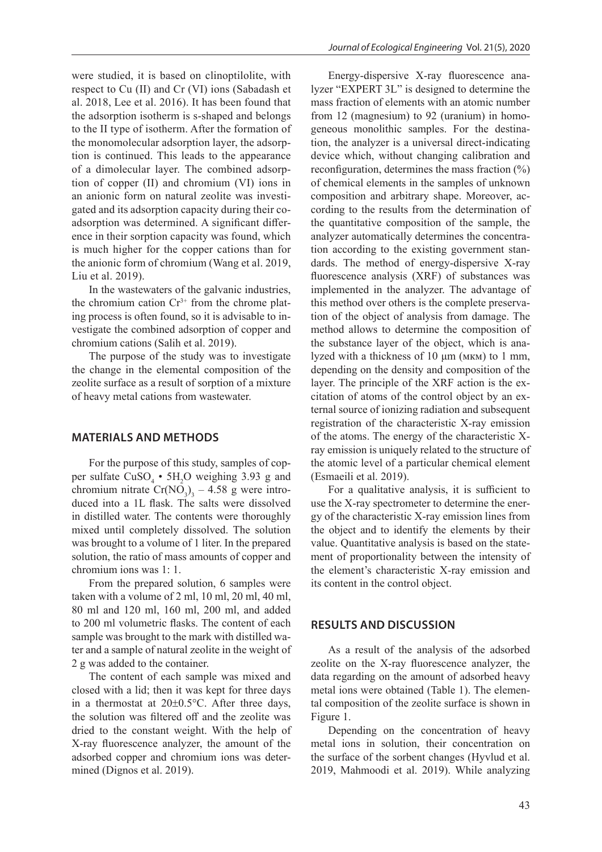were studied, it is based on clinoptilolite, with respect to Cu (II) and Cr (VI) ions (Sabadash et al. 2018, Lee et al. 2016). It has been found that the adsorption isotherm is s-shaped and belongs to the II type of isotherm. After the formation of the monomolecular adsorption layer, the adsorption is continued. This leads to the appearance of a dimolecular layer. The combined adsorption of copper (II) and chromium (VI) ions in an anionic form on natural zeolite was investigated and its adsorption capacity during their coadsorption was determined. A significant difference in their sorption capacity was found, which is much higher for the copper cations than for the anionic form of chromium (Wang et al. 2019, Liu et al. 2019).

In the wastewaters of the galvanic industries, the chromium cation  $Cr^{3+}$  from the chrome plating process is often found, so it is advisable to investigate the combined adsorption of copper and chromium cations (Salih et al. 2019).

The purpose of the study was to investigate the change in the elemental composition of the zeolite surface as a result of sorption of a mixture of heavy metal cations from wastewater.

#### **MATERIALS AND METHODS**

For the purpose of this study, samples of copper sulfate  $CuSO<sub>4</sub> \cdot 5H<sub>2</sub>O$  weighing 3.93 g and chromium nitrate  $Cr(NO<sub>3</sub>)<sub>3</sub> - 4.58$  g were introduced into a 1L flask. The salts were dissolved in distilled water. The contents were thoroughly mixed until completely dissolved. The solution was brought to a volume of 1 liter. In the prepared solution, the ratio of mass amounts of copper and chromium ions was 1: 1.

From the prepared solution, 6 samples were taken with a volume of 2 ml, 10 ml, 20 ml, 40 ml, 80 ml and 120 ml, 160 ml, 200 ml, and added to 200 ml volumetric flasks. The content of each sample was brought to the mark with distilled water and a sample of natural zeolite in the weight of 2 g was added to the container.

The content of each sample was mixed and closed with a lid; then it was kept for three days in a thermostat at 20±0.5°С. After three days, the solution was filtered off and the zeolite was dried to the constant weight. With the help of X-ray fluorescence analyzer, the amount of the adsorbed copper and chromium ions was determined (Dignos et al. 2019).

Energy-dispersive X-ray fluorescence analyzer "EXPERT 3L" is designed to determine the mass fraction of elements with an atomic number from 12 (magnesium) to 92 (uranium) in homogeneous monolithic samples. For the destination, the analyzer is a universal direct-indicating device which, without changing calibration and reconfiguration, determines the mass fraction (%) of chemical elements in the samples of unknown composition and arbitrary shape. Moreover, according to the results from the determination of the quantitative composition of the sample, the analyzer automatically determines the concentration according to the existing government standards. The method of energy-dispersive X-ray fluorescence analysis (XRF) of substances was implemented in the analyzer. The advantage of this method over others is the complete preservation of the object of analysis from damage. The method allows to determine the composition of the substance layer of the object, which is analyzed with a thickness of 10 μm (мкм) to 1 mm, depending on the density and composition of the layer. The principle of the XRF action is the excitation of atoms of the control object by an external source of ionizing radiation and subsequent registration of the characteristic X-ray emission of the atoms. The energy of the characteristic Xray emission is uniquely related to the structure of the atomic level of a particular chemical element (Esmaeili et al. 2019).

For a qualitative analysis, it is sufficient to use the X-ray spectrometer to determine the energy of the characteristic X-ray emission lines from the object and to identify the elements by their value. Quantitative analysis is based on the statement of proportionality between the intensity of the element's characteristic X-ray emission and its content in the control object.

#### **RESULTS AND DISCUSSION**

As a result of the analysis of the adsorbed zeolite on the X-ray fluorescence analyzer, the data regarding on the amount of adsorbed heavy metal ions were obtained (Table 1). The elemental composition of the zeolite surface is shown in Figure 1.

Depending on the concentration of heavy metal ions in solution, their concentration on the surface of the sorbent changes (Hyvlud et al. 2019, Mahmoodi et al. 2019). While analyzing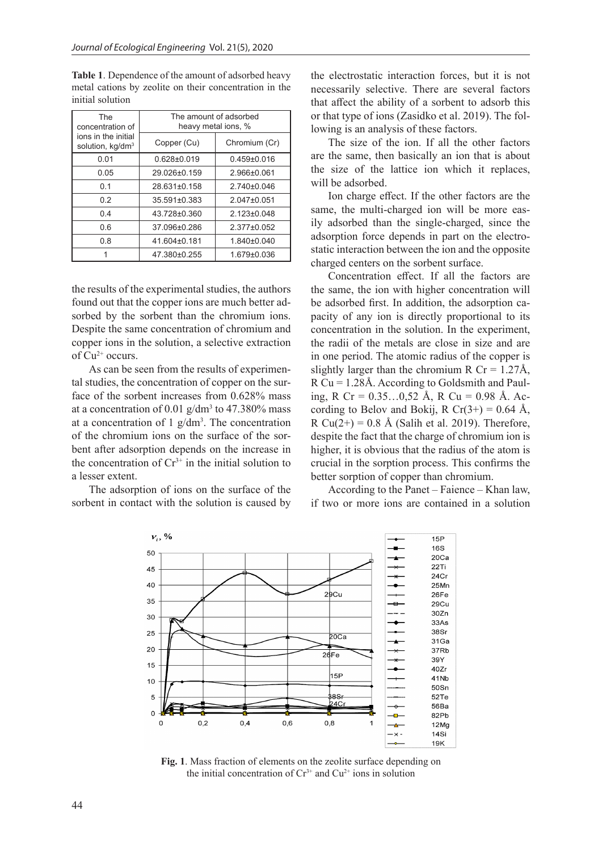| <b>The</b><br>concentration of<br>ions in the initial<br>solution, kg/dm <sup>3</sup> | The amount of adsorbed<br>heavy metal ions, % |                   |
|---------------------------------------------------------------------------------------|-----------------------------------------------|-------------------|
|                                                                                       | Copper (Cu)                                   | Chromium (Cr)     |
| 0.01                                                                                  | $0.628 \pm 0.019$                             | $0.459 \pm 0.016$ |
| 0.05                                                                                  | 29 026+0 159                                  | $2.966 \pm 0.061$ |
| 0.1                                                                                   | 28 631+0 158                                  | $2.740\pm0.046$   |
| 02                                                                                    | 35.591±0.383                                  | $2.047 \pm 0.051$ |
| 0.4                                                                                   | 43.728±0.360                                  | $2.123 \pm 0.048$ |
| 0.6                                                                                   | 37.096±0.286                                  | $2.377 \pm 0.052$ |
| 0.8                                                                                   | 41.604±0.181                                  | $1.840\pm0.040$   |
|                                                                                       | 47.380±0.255                                  | $1.679 \pm 0.036$ |

**Table 1**. Dependence of the amount of adsorbed heavy metal cations by zeolite on their concentration in the initial solution

the results of the experimental studies, the authors found out that the copper ions are much better adsorbed by the sorbent than the chromium ions. Despite the same concentration of chromium and copper ions in the solution, a selective extraction of  $Cu^{2+}$  occurs.

As can be seen from the results of experimental studies, the concentration of copper on the surface of the sorbent increases from 0.628% mass at a concentration of  $0.01$  g/dm<sup>3</sup> to 47.380% mass at a concentration of  $1$  g/dm<sup>3</sup>. The concentration of the chromium ions on the surface of the sorbent after adsorption depends on the increase in the concentration of  $Cr^{3+}$  in the initial solution to a lesser extent.

The adsorption of ions on the surface of the sorbent in contact with the solution is caused by the electrostatic interaction forces, but it is not necessarily selective. There are several factors that affect the ability of a sorbent to adsorb this or that type of ions (Zasidko et al. 2019). The following is an analysis of these factors.

The size of the ion. If all the other factors are the same, then basically an ion that is about the size of the lattice ion which it replaces, will be adsorbed.

Ion charge effect. If the other factors are the same, the multi-charged ion will be more easily adsorbed than the single-charged, since the adsorption force depends in part on the electrostatic interaction between the ion and the opposite charged centers on the sorbent surface.

Concentration effect. If all the factors are the same, the ion with higher concentration will be adsorbed first. In addition, the adsorption capacity of any ion is directly proportional to its concentration in the solution. In the experiment, the radii of the metals are close in size and are in one period. The atomic radius of the copper is slightly larger than the chromium R Cr =  $1.27\text{\AA}$ , R Cu = 1.28Å. According to Goldsmith and Pauling, R Cr =  $0.35...0.52$  Å, R Cu =  $0.98$  Å. According to Belov and Bokij, R Cr(3+) = 0.64 Å, R Cu(2+) = 0.8 Å (Salih et al. 2019). Therefore, despite the fact that the charge of chromium ion is higher, it is obvious that the radius of the atom is crucial in the sorption process. This confirms the better sorption of copper than chromium.

According to the Panet – Faience – Khan law, if two or more ions are contained in a solution



**Fig. 1**. Mass fraction of elements on the zeolite surface depending on the initial concentration of  $Cr^{3+}$  and  $Cu^{2+}$  ions in solution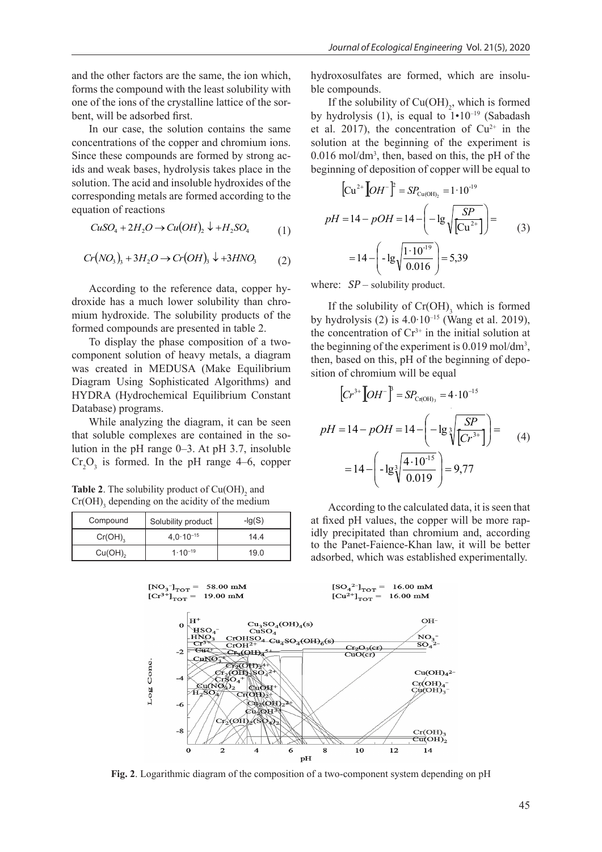and the other factors are the same, the ion which, forms the compound with the least solubility with one of the ions of the crystalline lattice of the sorbent, will be adsorbed first.

In our case, the solution contains the same concentrations of the copper and chromium ions. Since these compounds are formed by strong acids and weak bases, hydrolysis takes place in the solution. The acid and insoluble hydroxides of the corresponding metals are formed according to the equation of reactions

$$
CuSO4 + 2H2O \to Cu(OH)2 \downarrow + H2 SO4
$$
 (1)

$$
Cr(NO3)3 + 3H2O \to Cr(OH)3 \downarrow +3HNO3 (2)
$$

According to the reference data, copper hydroxide has a much lower solubility than chromium hydroxide. The solubility products of the formed compounds are presented in table 2.

To display the phase composition of a twocomponent solution of heavy metals, a diagram was created in MEDUSA (Make Equilibrium Diagram Using Sophisticated Algorithms) and HYDRA (Hydrochemical Equilibrium Constant Database) programs.

While analyzing the diagram, it can be seen While analyzing the diagram, it can be seen<br>that soluble complexes are contained in the so-<br> $pH = 14 - pOH = 14 - \left(-\lg \sqrt[3]{\frac{SP}{Cr^3}\right)$ lution in the pH range  $0-3$ . At pH 3.7, insoluble  $Cr_2O_3$  is formed. In the pH range 4–6, copper  $= 14 - \left(-\frac{lg^3}{100}\right)$ Ī

**Table 2.** The solubility product of  $Cu(OH)_{2}$  and  $Cr(OH)$ <sub>3</sub> depending on the acidity of the medium

| Compound              | Solubility product   | $-lq(S)$ |
|-----------------------|----------------------|----------|
| $Cr(OH)$ <sub>2</sub> | $4.0 \cdot 10^{-15}$ | 14.4     |
| $Cu(OH)$ <sub>2</sub> | $1.10^{-19}$         | 19.0     |

hydroxosulfates are formed, which are insoluble compounds.

If the solubility of  $Cu(OH)_{2}$ , which is formed by hydrolysis (1), is equal to  $1 \cdot 10^{-19}$  (Sabadash et al. 2017), the concentration of  $Cu^{2+}$  in the solution at the beginning of the experiment is 0.016 mol/dm3 , then, based on this, the pH of the beginning of deposition of copper will be equal to

$$
\left[\text{Cu}^{2+}\left[OH^{-}\right]^{2} = SP_{\text{Cu(OH)}_{2}} = 1 \cdot 10^{-19}
$$
\n
$$
pH = 14 - pOH = 14 - \left(-\lg\sqrt{\frac{SP}{\text{Cu}^{2+}}}\right) =
$$
\n
$$
= 14 - \left(-\lg\sqrt{\frac{1 \cdot 10^{-19}}{0.016}}\right) = 5,39
$$
\n(3)

where:  $SP$  – solubility product.

If the solubility of  $Cr(OH)$ <sub>3</sub> which is formed by hydrolysis (2) is  $4.0 \cdot 10^{-15}$  (Wang et al. 2019), the concentration of  $Cr^{3+}$  in the initial solution at the beginning of the experiment is  $0.019 \text{ mol/dm}^3$ , then, based on this, pH of the beginning of deposition of chromium will be equal

$$
\left[Cr^{3+}\left[OH^{-}\right]^{3} = SP_{\text{Cr(OH)}_{3}} = 4 \cdot 10^{-15}
$$
\n
$$
pH = 14 - pOH = 14 - \left(-\lg \sqrt[3]{\frac{SP}{\left( Cr^{3+}\right)}}\right) =
$$
\n
$$
= 14 - \left(-\lg \sqrt[3]{\frac{4 \cdot 10^{-15}}{0.019}}\right) = 9,77
$$
\n(4)

According to the calculated data, it is seen that at fixed pH values, the copper will be more rapidly precipitated than chromium and, according to the Panet-Faience-Khan law, it will be better adsorbed, which was established experimentally.



**Fig. 2**. Logarithmic diagram of the composition of a two-component system depending on pH